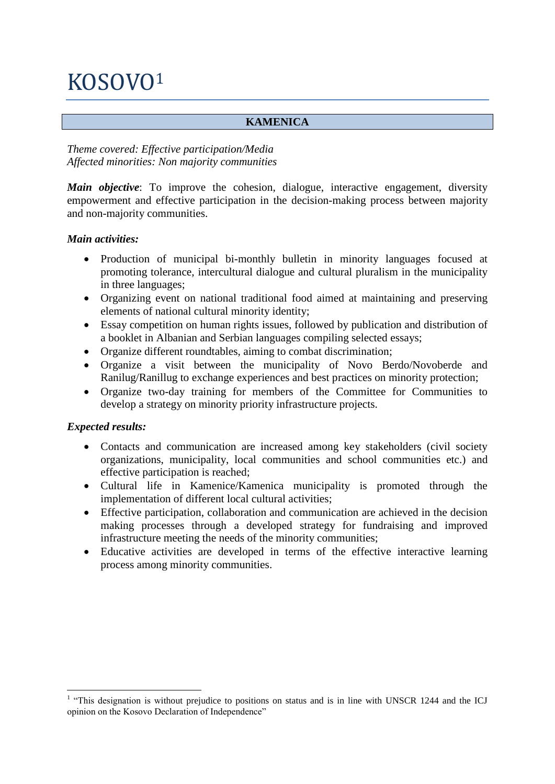# KOSOVO<sup>1</sup>

# **KAMENICA**

## *Theme covered: Effective participation/Media Affected minorities: Non majority communities*

*Main objective*: To improve the cohesion, dialogue, interactive engagement, diversity empowerment and effective participation in the decision-making process between majority and non-majority communities.

#### *Main activities:*

- Production of municipal bi-monthly bulletin in minority languages focused at promoting tolerance, intercultural dialogue and cultural pluralism in the municipality in three languages;
- Organizing event on national traditional food aimed at maintaining and preserving elements of national cultural minority identity;
- Essay competition on human rights issues, followed by publication and distribution of a booklet in Albanian and Serbian languages compiling selected essays;
- Organize different roundtables, aiming to combat discrimination;
- Organize a visit between the municipality of Novo Berdo/Novoberde and Ranilug/Ranillug to exchange experiences and best practices on minority protection;
- Organize two-day training for members of the Committee for Communities to develop a strategy on minority priority infrastructure projects.

# *Expected results:*

- Contacts and communication are increased among key stakeholders (civil society organizations, municipality, local communities and school communities etc.) and effective participation is reached;
- Cultural life in Kamenice/Kamenica municipality is promoted through the implementation of different local cultural activities;
- Effective participation, collaboration and communication are achieved in the decision making processes through a developed strategy for fundraising and improved infrastructure meeting the needs of the minority communities;
- Educative activities are developed in terms of the effective interactive learning process among minority communities.

<sup>1</sup> <sup>1</sup> "This designation is without prejudice to positions on status and is in line with UNSCR 1244 and the ICJ opinion on the Kosovo Declaration of Independence"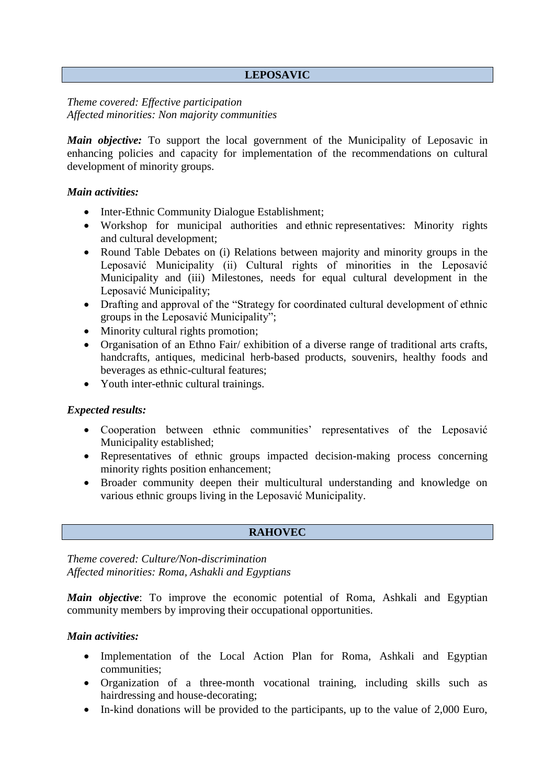## **LEPOSAVIC**

## *Theme covered: Effective participation Affected minorities: Non majority communities*

*Main objective:* To support the local government of the Municipality of Leposavic in enhancing policies and capacity for implementation of the recommendations on cultural development of minority groups.

#### *Main activities:*

- Inter-Ethnic Community Dialogue Establishment;
- Workshop for municipal authorities and ethnic representatives: Minority rights and cultural development;
- Round Table Debates on (i) Relations between majority and minority groups in the Leposavić Municipality (ii) Cultural rights of minorities in the Leposavić Municipality and (iii) Milestones, needs for equal cultural development in the Leposavić Municipality;
- Drafting and approval of the "Strategy for coordinated cultural development of ethnic groups in the Leposavić Municipality";
- Minority cultural rights promotion;
- Organisation of an Ethno Fair/ exhibition of a diverse range of traditional arts crafts, handcrafts, antiques, medicinal herb-based products, souvenirs, healthy foods and beverages as ethnic-cultural features;
- Youth inter-ethnic cultural trainings.

#### *Expected results:*

- Cooperation between ethnic communities' representatives of the Leposavić Municipality established;
- Representatives of ethnic groups impacted decision-making process concerning minority rights position enhancement;
- Broader community deepen their multicultural understanding and knowledge on various ethnic groups living in the Leposavić Municipality.

#### **RAHOVEC**

*Theme covered: Culture/Non-discrimination Affected minorities: Roma, Ashakli and Egyptians*

*Main objective*: To improve the economic potential of Roma, Ashkali and Egyptian community members by improving their occupational opportunities.

#### *Main activities:*

- Implementation of the Local Action Plan for Roma, Ashkali and Egyptian communities;
- Organization of a three-month vocational training, including skills such as hairdressing and house-decorating;
- In-kind donations will be provided to the participants, up to the value of 2,000 Euro,